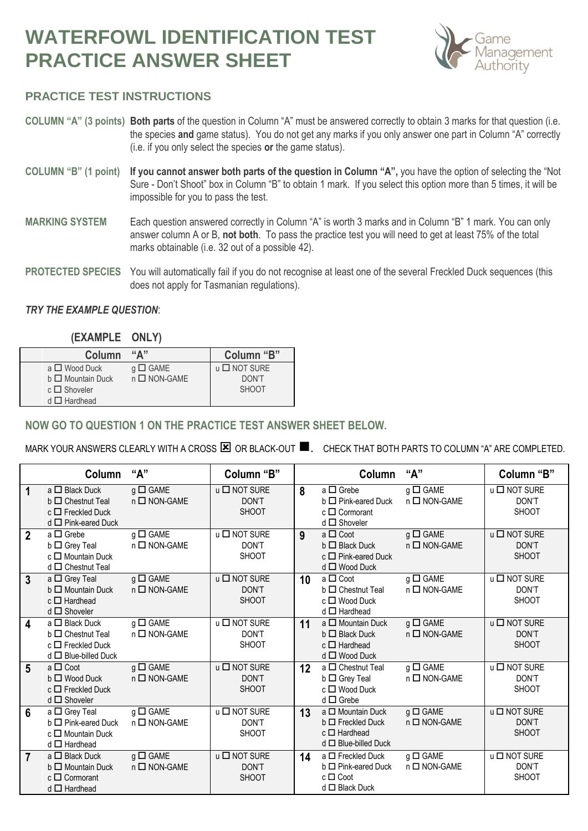# **WATERFOWL IDENTIFICATION TEST PRACTICE ANSWER SHEET**



## **PRACTICE TEST INSTRUCTIONS**

- **COLUMN "A" (3 points) Both parts** of the question in Column "A" must be answered correctly to obtain 3 marks for that question (i.e. the species **and** game status). You do not get any marks if you only answer one part in Column "A" correctly (i.e. if you only select the species **or** the game status).
- **COLUMN "B" (1 point) If you cannot answer both parts of the question in Column "A",** you have the option of selecting the "Not Sure - Don't Shoot" box in Column "B" to obtain 1 mark. If you select this option more than 5 times, it will be impossible for you to pass the test.
- **MARKING SYSTEM** Each question answered correctly in Column "A" is worth 3 marks and in Column "B" 1 mark. You can only answer column A or B, **not both**. To pass the practice test you will need to get at least 75% of the total marks obtainable (i.e. 32 out of a possible 42).
- **PROTECTED SPECIES** You will automatically fail if you do not recognise at least one of the several Freckled Duck sequences (this does not apply for Tasmanian regulations).

#### *TRY THE EXAMPLE QUESTION*:

| (EXAMPLE | ONLY) |
|----------|-------|
|----------|-------|

| Column                 | $\mathbf{H}$ $\mathbf{M}$ | Column "B"                   |
|------------------------|---------------------------|------------------------------|
| $a \Box$ Wood Duck     | $g \Box$ GAME             | $\mathsf{u}$ $\Box$ NOT SURE |
| $b \Box$ Mountain Duck | $n \square$ NON-GAME      | DON'T                        |
| $c \Box$ Shoveler      |                           | <b>SHOOT</b>                 |
| $d \Box$ Hardhead      |                           |                              |

#### **NOW GO TO QUESTION 1 ON THE PRACTICE TEST ANSWER SHEET BELOW.**

MARK YOUR ANSWERS CLEARLY WITH A CROSS  $\boxtimes$  OR BLACK-OUT  $\blacksquare$ . CHECK THAT BOTH PARTS TO COLUMN "A" ARE COMPLETED.

|                         | Column                                                                                              | "А"                                   | Column "B"                                    |    | Column                                                                                                | "А"                                | Column "B"                            |
|-------------------------|-----------------------------------------------------------------------------------------------------|---------------------------------------|-----------------------------------------------|----|-------------------------------------------------------------------------------------------------------|------------------------------------|---------------------------------------|
| 1                       | $a \Box$ Black Duck<br>$b \Box$ Chestnut Teal<br>$c \Box$ Freckled Duck<br>$d \Box$ Pink-eared Duck | $g \Box$ GAME<br>$n \square$ NON-GAME | $u \square$ NOT SURE<br>DON'T<br><b>SHOOT</b> | 8  | a $\square$ Grebe<br>$b \Box$ Pink-eared Duck<br>$c \Box$ Cormorant<br>$d \Box$ Shoveler              | $g \Box$ GAME<br>$n \Box$ NON-GAME | u □ NOT SURE<br>DON'T<br><b>SHOOT</b> |
| $\overline{2}$          | $a \Box$ Grebe<br>$b \Box$ Grey Teal<br>$c \Box$ Mountain Duck<br>$d \Box$ Chestnut Teal            | $g \Box$ GAME<br>$n \square$ NON-GAME | $u \square$ NOT SURE<br>DON'T<br><b>SHOOT</b> | 9  | $a \Box$ Coot<br>$b \Box$ Black Duck<br>$c \Box$ Pink-eared Duck<br>$d \Box$ Wood Duck                | $g \Box$ GAME<br>$n \Box$ NON-GAME | u □ NOT SURE<br>DON'T<br><b>SHOOT</b> |
| $\overline{3}$          | a $\Box$ Grey Teal<br>$b \Box$ Mountain Duck<br>$c \Box$ Hardhead<br>$d \Box$ Shoveler              | $g \Box$ GAME<br>$n \square$ NON-GAME | u □ NOT SURE<br>DON'T<br><b>SHOOT</b>         | 10 | a □ Coot<br>$b \Box$ Chestnut Teal<br>$c \Box$ Wood Duck<br>$d \Box$ Hardhead                         | $g \Box$ GAME<br>$n \Box$ NON-GAME | u □ NOT SURE<br>DON'T<br><b>SHOOT</b> |
| $\overline{\mathbf{4}}$ | a □ Black Duck<br>$b \Box$ Chestnut Teal<br>$c \Box$ Freckled Duck<br>$d \Box$ Blue-billed Duck     | $g \Box$ GAME<br>$n \square$ NON-GAME | u □ NOT SURE<br>DON'T<br><b>SHOOT</b>         | 11 | $a \Box$ Mountain Duck<br>$b \Box$ Black Duck<br>$c \Box$ Hardhead<br>$d \Box$ Wood Duck              | $g \Box$ GAME<br>$n \Box$ NON-GAME | u □ NOT SURE<br>DON'T<br><b>SHOOT</b> |
| $5\phantom{.0}$         | $a \Box$ Coot<br>$b \Box$ Wood Duck<br>$c \Box$ Freckled Duck<br>$d \Box$ Shoveler                  | $g \Box$ GAME<br>$n \square$ NON-GAME | u □ NOT SURE<br>DON'T<br><b>SHOOT</b>         | 12 | a □ Chestnut Teal<br>$b \Box$ Grey Teal<br>$c \Box$ Wood Duck<br>$d \Box$ Grebe                       | $g \Box$ GAME<br>$n \Box$ NON-GAME | u □ NOT SURE<br>DON'T<br><b>SHOOT</b> |
| 6                       | $a \Box$ Grey Teal<br>$b \Box$ Pink-eared Duck<br>$c \Box$ Mountain Duck<br>$d \Box$ Hardhead       | $g \Box$ GAME<br>$n \square$ NON-GAME | u □ NOT SURE<br>DON'T<br><b>SHOOT</b>         | 13 | a $\square$ Mountain Duck<br>$b \Box$ Freckled Duck<br>$c \Box$ Hardhead<br>$d \Box$ Blue-billed Duck | $g \Box$ GAME<br>n □ NON-GAME      | u □ NOT SURE<br>DON'T<br><b>SHOOT</b> |
| $\overline{7}$          | $a \Box$ Black Duck<br>$b \Box$ Mountain Duck<br>$c \Box$ Cormorant<br>$d \Box$ Hardhead            | $g \Box$ GAME<br>$n \square$ NON-GAME | u □ NOT SURE<br>DON'T<br><b>SHOOT</b>         | 14 | a □ Freckled Duck<br>$b \Box$ Pink-eared Duck<br>$c \Box$ Coot<br>$d \Box$ Black Duck                 | $g \Box$ GAME<br>$n \Box$ NON-GAME | u □ NOT SURE<br>DON'T<br><b>SHOOT</b> |